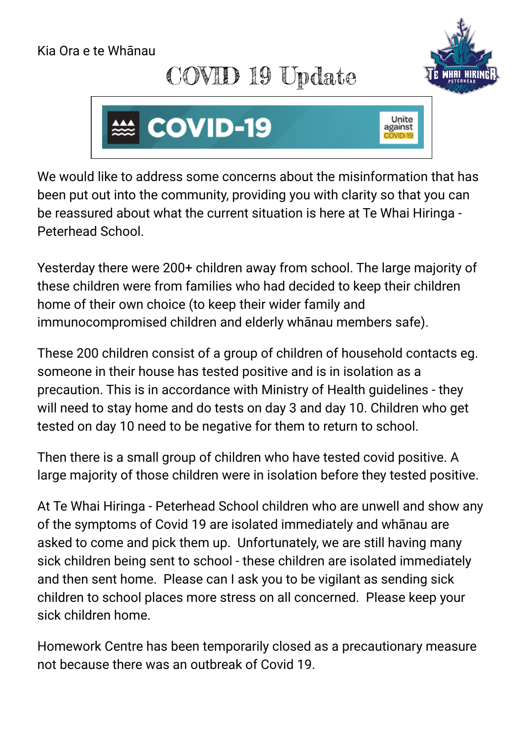## Kia Ora e te Whānau

## COVID 19 Update





We would like to address some concerns about the misinformation that has been put out into the community, providing you with clarity so that you can be reassured about what the current situation is here at Te Whai Hiringa - Peterhead School.

Yesterday there were 200+ children away from school. The large majority of these children were from families who had decided to keep their children home of their own choice (to keep their wider family and immunocompromised children and elderly whānau members safe).

These 200 children consist of a group of children of household contacts eg. someone in their house has tested positive and is in isolation as a precaution. This is in accordance with Ministry of Health guidelines - they will need to stay home and do tests on day 3 and day 10. Children who get tested on day 10 need to be negative for them to return to school.

Then there is a small group of children who have tested covid positive. A large majority of those children were in isolation before they tested positive.

At Te Whai Hiringa - Peterhead School children who are unwell and show any of the symptoms of Covid 19 are isolated immediately and whānau are asked to come and pick them up. Unfortunately, we are still having many sick children being sent to school - these children are isolated immediately and then sent home. Please can I ask you to be vigilant as sending sick children to school places more stress on all concerned. Please keep your sick children home.

Homework Centre has been temporarily closed as a precautionary measure not because there was an outbreak of Covid 19.